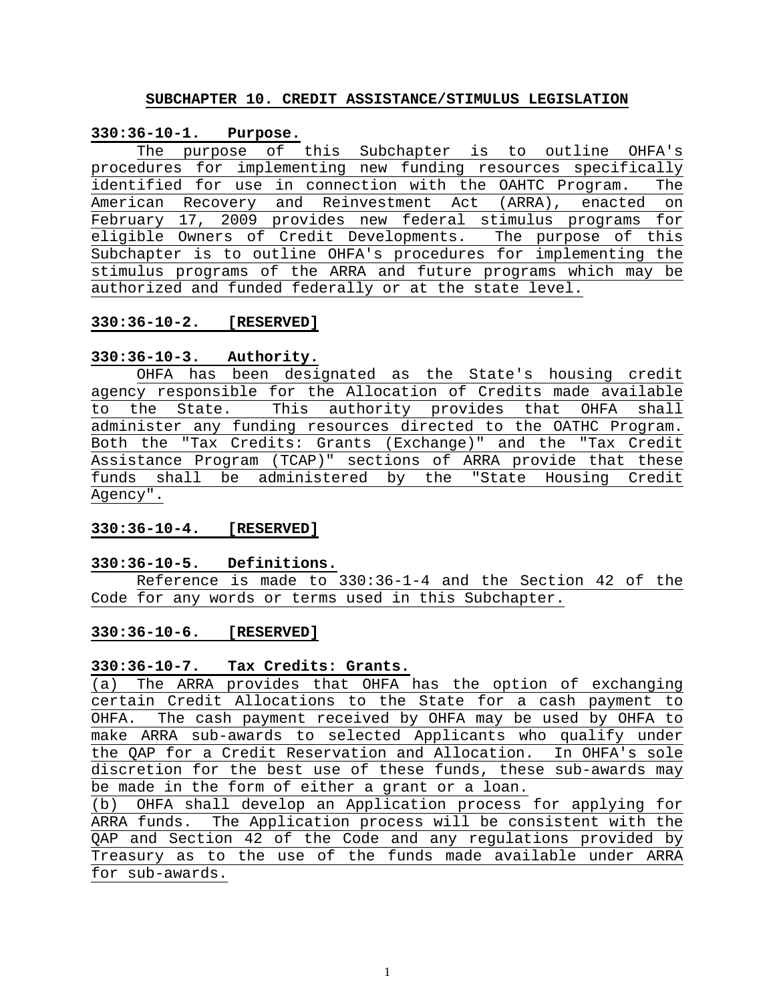#### **SUBCHAPTER 10. CREDIT ASSISTANCE/STIMULUS LEGISLATION**

# **330:36-10-1. Purpose.**

The purpose of this Subchapter is to outline OHFA's procedures for implementing new funding resources specifically identified for use in connection with the OAHTC Program. The American Recovery and Reinvestment Act (ARRA), enacted on February 17, 2009 provides new federal stimulus programs for eligible Owners of Credit Developments. The purpose of this Subchapter is to outline OHFA's procedures for implementing the stimulus programs of the ARRA and future programs which may be authorized and funded federally or at the state level.

# **330:36-10-2. [RESERVED]**

# **330:36-10-3. Authority.**

OHFA has been designated as the State's housing credit agency responsible for the Allocation of Credits made available to the State. This authority provides that OHFA shall administer any funding resources directed to the OATHC Program. Both the "Tax Credits: Grants (Exchange)" and the "Tax Credit Assistance Program (TCAP)" sections of ARRA provide that these funds shall be administered by the "State Housing Credit Agency".

# **330:36-10-4. [RESERVED]**

#### **330:36-10-5. Definitions.**

Reference is made to 330:36-1-4 and the Section 42 of the Code for any words or terms used in this Subchapter.

#### **330:36-10-6. [RESERVED]**

# **330:36-10-7. Tax Credits: Grants.**

(a) The ARRA provides that OHFA has the option of exchanging certain Credit Allocations to the State for a cash payment to OHFA. The cash payment received by OHFA may be used by OHFA to make ARRA sub-awards to selected Applicants who qualify under the QAP for a Credit Reservation and Allocation. In OHFA's sole discretion for the best use of these funds, these sub-awards may be made in the form of either a grant or a loan.

(b) OHFA shall develop an Application process for applying for ARRA funds. The Application process will be consistent with the QAP and Section 42 of the Code and any regulations provided by Treasury as to the use of the funds made available under ARRA for sub-awards.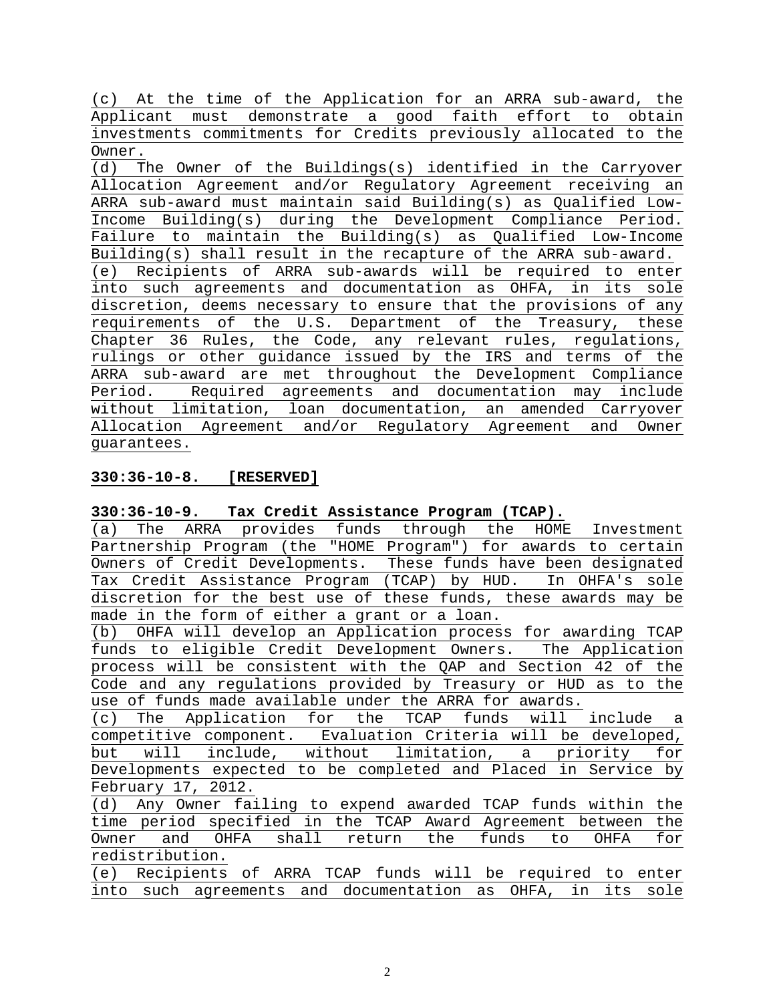(c) At the time of the Application for an ARRA sub-award, the Applicant must demonstrate a good faith effort to obtain investments commitments for Credits previously allocated to the Owner.

(d) The Owner of the Buildings(s) identified in the Carryover Allocation Agreement and/or Regulatory Agreement receiving an ARRA sub-award must maintain said Building(s) as Qualified Low-Income Building(s) during the Development Compliance Period. Failure to maintain the Building(s) as Qualified Low-Income Building(s) shall result in the recapture of the ARRA sub-award. (e) Recipients of ARRA sub-awards will be required to enter into such agreements and documentation as OHFA, in its sole discretion, deems necessary to ensure that the provisions of any requirements of the U.S. Department of the Treasury, these Chapter 36 Rules, the Code, any relevant rules, regulations, rulings or other guidance issued by the IRS and terms of the ARRA sub-award are met throughout the Development Compliance Period. Required agreements and documentation may include without limitation, loan documentation, an amended Carryover Allocation Agreement and/or Regulatory Agreement and Owner guarantees.

# **330:36-10-8. [RESERVED]**

# **330:36-10-9. Tax Credit Assistance Program (TCAP).**

(a) The ARRA provides funds through the HOME Investment Partnership Program (the "HOME Program") for awards to certain Owners of Credit Developments. These funds have been designated Tax Credit Assistance Program (TCAP) by HUD. In OHFA's sole discretion for the best use of these funds, these awards may be made in the form of either a grant or a loan.

(b) OHFA will develop an Application process for awarding TCAP funds to eligible Credit Development Owners. The Application process will be consistent with the QAP and Section 42 of the Code and any regulations provided by Treasury or HUD as to the use of funds made available under the ARRA for awards.

(c) The Application for the TCAP funds will include a competitive component. Evaluation Criteria will be developed, but will include, without limitation, a priority for Developments expected to be completed and Placed in Service by February 17, 2012.

(d) Any Owner failing to expend awarded TCAP funds within the time period specified in the TCAP Award Agreement between the Owner and OHFA shall return the funds to OHFA for redistribution. (e) Recipients of ARRA TCAP funds will be required to enter

|  |  |  | $(0, 100)$ is the same semi-seminary with $100$ independent $(0, 000)$ |  |  |  |
|--|--|--|------------------------------------------------------------------------|--|--|--|
|  |  |  | into such agreements and documentation as OHFA, in its sole            |  |  |  |
|  |  |  |                                                                        |  |  |  |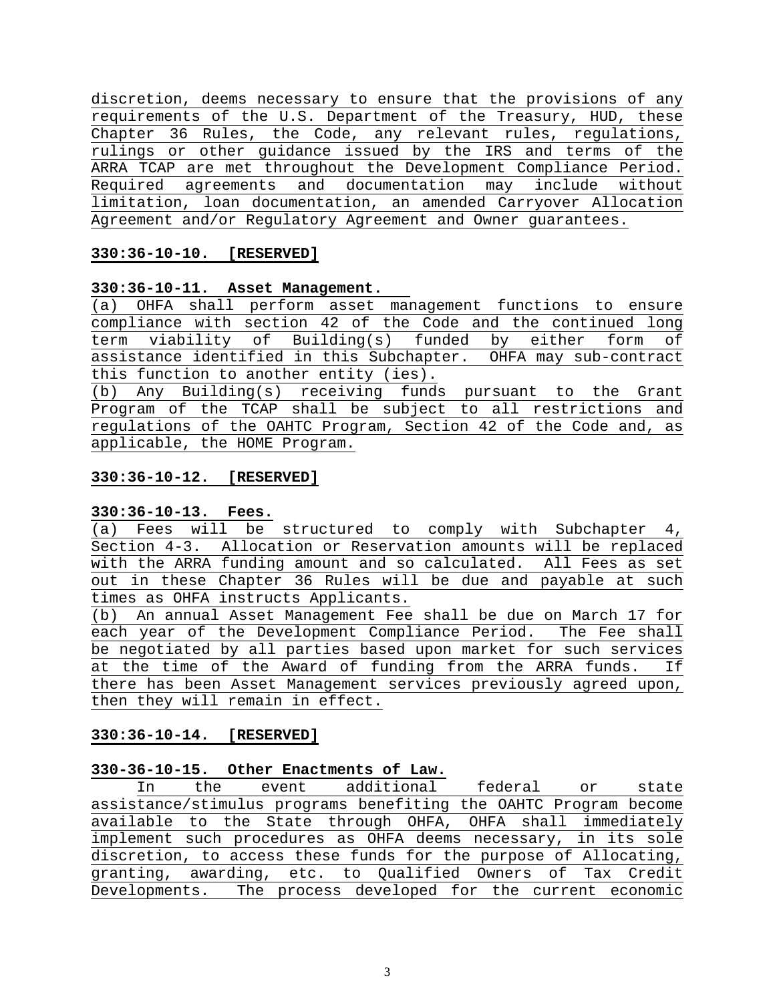discretion, deems necessary to ensure that the provisions of any requirements of the U.S. Department of the Treasury, HUD, these Chapter 36 Rules, the Code, any relevant rules, regulations, rulings or other guidance issued by the IRS and terms of the ARRA TCAP are met throughout the Development Compliance Period. Required agreements and documentation may include without limitation, loan documentation, an amended Carryover Allocation Agreement and/or Regulatory Agreement and Owner guarantees.

# **330:36-10-10. [RESERVED]**

# **330:36-10-11. Asset Management.**

(a) OHFA shall perform asset management functions to ensure compliance with section 42 of the Code and the continued long term viability of Building(s) funded by either form of assistance identified in this Subchapter. OHFA may sub-contract this function to another entity (ies). (b) Any Building(s) receiving funds pursuant to the Grant

Program of the TCAP shall be subject to all restrictions and regulations of the OAHTC Program, Section 42 of the Code and, as applicable, the HOME Program.

# **330:36-10-12. [RESERVED]**

# **330:36-10-13. Fees.**

(a) Fees will be structured to comply with Subchapter 4, Section 4-3. Allocation or Reservation amounts will be replaced with the ARRA funding amount and so calculated. All Fees as set out in these Chapter 36 Rules will be due and payable at such times as OHFA instructs Applicants.

(b) An annual Asset Management Fee shall be due on March 17 for each year of the Development Compliance Period. The Fee shall be negotiated by all parties based upon market for such services at the time of the Award of funding from the ARRA funds. If there has been Asset Management services previously agreed upon, then they will remain in effect.

# **330:36-10-14. [RESERVED]**

# **330-36-10-15. Other Enactments of Law.**

| In                                                               | the | event additional federal or |  |  | state |
|------------------------------------------------------------------|-----|-----------------------------|--|--|-------|
| assistance/stimulus programs benefiting the OAHTC Program become |     |                             |  |  |       |
| available to the State through OHFA, OHFA shall immediately      |     |                             |  |  |       |
| implement such procedures as OHFA deems necessary, in its sole   |     |                             |  |  |       |
| discretion, to access these funds for the purpose of Allocating, |     |                             |  |  |       |
| granting, awarding, etc. to Qualified Owners of Tax Credit       |     |                             |  |  |       |
| Developments. The process developed for the current economic     |     |                             |  |  |       |